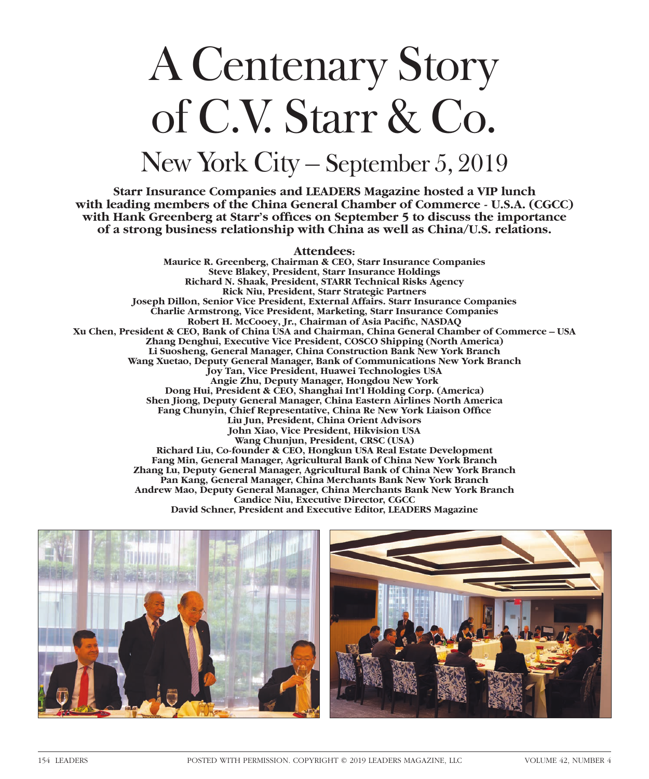## A Centenary Story of C.V. Starr & Co. New York City – September 5, 2019

**Starr Insurance Companies and LEADERS Magazine hosted a VIP lunch with leading members of the China General Chamber of Commerce - U.S.A. (CGCC) with Hank Greenberg at Starr's offices on September 5 to discuss the importance of a strong business relationship with China as well as China/U.S. relations.** 

**Attendees:**

**Maurice R. Greenberg, Chairman & CEO, Starr Insurance Companies Steve Blakey, President, Starr Insurance Holdings Richard N. Shaak, President, STARR Technical Risks Agency Rick Niu, President, Starr Strategic Partners Joseph Dillon, Senior Vice President, External Affairs. Starr Insurance Companies Charlie Armstrong, Vice President, Marketing, Starr Insurance Companies Robert H. McCooey, Jr., Chairman of Asia Pacific, NASDAQ Xu Chen, President & CEO, Bank of China USA and Chairman, China General Chamber of Commerce – USA Zhang Denghui, Executive Vice President, COSCO Shipping (North America) Li Suosheng, General Manager, China Construction Bank New York Branch Wang Xuetao, Deputy General Manager, Bank of Communications New York Branch Joy Tan, Vice President, Huawei Technologies USA Angie Zhu, Deputy Manager, Hongdou New York Dong Hui, President & CEO, Shanghai Int'l Holding Corp. (America) Shen Jiong, Deputy General Manager, China Eastern Airlines North America Fang Chunyin, Chief Representative, China Re New York Liaison Office Liu Jun, President, China Orient Advisors John Xiao, Vice President, Hikvision USA Wang Chunjun, President, CRSC (USA) Richard Liu, Co-founder & CEO, Hongkun USA Real Estate Development Fang Min, General Manager, Agricultural Bank of China New York Branch Zhang Lu, Deputy General Manager, Agricultural Bank of China New York Branch Pan Kang, General Manager, China Merchants Bank New York Branch Andrew Mao, Deputy General Manager, China Merchants Bank New York Branch Candice Niu, Executive Director, CGCC David Schner, President and Executive Editor, LEADERS Magazine**